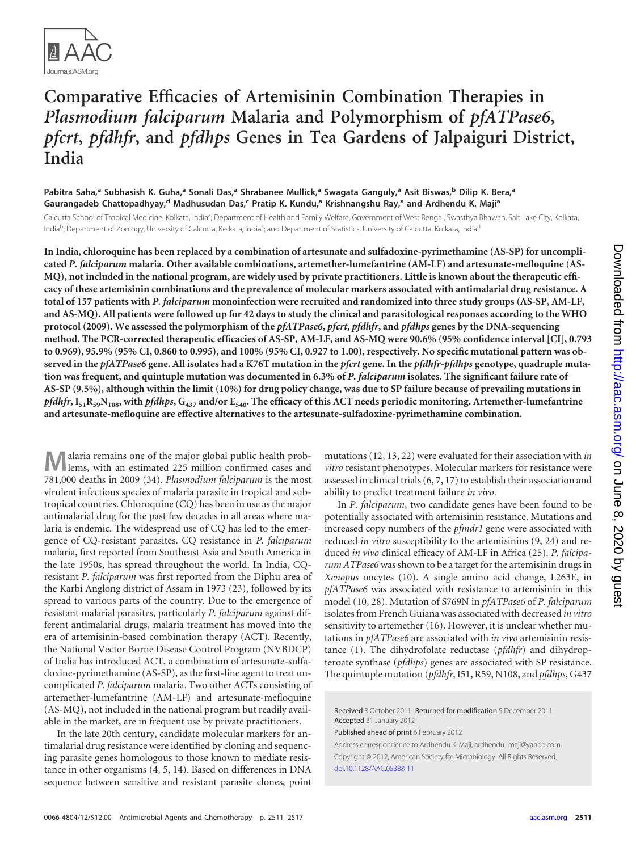

# **Comparative Efficacies of Artemisinin Combination Therapies in** *Plasmodium falciparum* **Malaria and Polymorphism of** *pfATPase6***,** *pfcrt***,** *pfdhfr***, and** *pfdhps* **Genes in Tea Gardens of Jalpaiguri District, India**

**Pabitra Saha, <sup>a</sup> Subhasish K. Guha, <sup>a</sup> Sonali Das, <sup>a</sup> Shrabanee Mullick, <sup>a</sup> Swagata Ganguly, <sup>a</sup> Asit Biswas, <sup>b</sup> Dilip K. Bera, a Gaurangadeb Chattopadhyay, <sup>d</sup> Madhusudan Das, <sup>c</sup> Pratip K. Kundu, <sup>a</sup> Krishnangshu Ray, <sup>a</sup> and Ardhendu K. Majia**

Calcutta School of Tropical Medicine, Kolkata, India<sup>a</sup>; Department of Health and Family Welfare, Government of West Bengal, Swasthya Bhawan, Salt Lake City, Kolkata, India<sup>b</sup>; Department of Zoology, University of Calcutta, Kolkata, India<sup>c</sup>; and Department of Statistics, University of Calcutta, Kolkata, India<sup>d</sup>

**In India, chloroquine has been replaced by a combination of artesunate and sulfadoxine-pyrimethamine (AS-SP) for uncomplicated** *P. falciparum* **malaria. Other available combinations, artemether-lumefantrine (AM-LF) and artesunate-mefloquine (AS-MQ), not included in the national program, are widely used by private practitioners. Little is known about the therapeutic efficacy of these artemisinin combinations and the prevalence of molecular markers associated with antimalarial drug resistance. A total of 157 patients with** *P. falciparum* **monoinfection were recruited and randomized into three study groups (AS-SP, AM-LF, and AS-MQ). All patients were followed up for 42 days to study the clinical and parasitological responses according to the WHO protocol (2009). We assessed the polymorphism of the** *pfATPase6***,** *pfcrt***,** *pfdhfr***, and** *pfdhps* **genes by the DNA-sequencing method. The PCR-corrected therapeutic efficacies of AS-SP, AM-LF, and AS-MQ were 90.6% (95% confidence interval [CI], 0.793 to 0.969), 95.9% (95% CI, 0.860 to 0.995), and 100% (95% CI, 0.927 to 1.00), respectively. No specific mutational pattern was observed in the** *pfATPase6* **gene. All isolates had a K76T mutation in the** *pfcrt* **gene. In the** *pfdhfr-pfdhps* **genotype, quadruple mutation was frequent, and quintuple mutation was documented in 6.3% of** *P. falciparum* **isolates. The significant failure rate of AS-SP (9.5%), although within the limit (10%) for drug policy change, was due to SP failure because of prevailing mutations in** *pfdhfr***, I51R59N108, with** *pfdhps***, G437 and/or E540. The efficacy of this ACT needs periodic monitoring. Artemether-lumefantrine and artesunate-mefloquine are effective alternatives to the artesunate-sulfadoxine-pyrimethamine combination.**

**M**alaria remains one of the major global public health prob-<br>lems, with an estimated 225 million confirmed cases and 781,000 deaths in 2009 [\(34\)](#page-6-0). *Plasmodium falciparum* is the most virulent infectious species of malaria parasite in tropical and subtropical countries. Chloroquine (CQ) has been in use as the major antimalarial drug for the past few decades in all areas where malaria is endemic. The widespread use of CQ has led to the emergence of CQ-resistant parasites. CQ resistance in *P. falciparum* malaria, first reported from Southeast Asia and South America in the late 1950s, has spread throughout the world. In India, CQresistant *P. falciparum* was first reported from the Diphu area of the Karbi Anglong district of Assam in 1973 [\(23\)](#page-6-1), followed by its spread to various parts of the country. Due to the emergence of resistant malarial parasites, particularly *P. falciparum* against different antimalarial drugs, malaria treatment has moved into the era of artemisinin-based combination therapy (ACT). Recently, the National Vector Borne Disease Control Program (NVBDCP) of India has introduced ACT, a combination of artesunate-sulfadoxine-pyrimethamine (AS-SP), as the first-line agent to treat uncomplicated *P. falciparum* malaria. Two other ACTs consisting of artemether-lumefantrine (AM-LF) and artesunate-mefloquine (AS-MQ), not included in the national program but readily available in the market, are in frequent use by private practitioners.

In the late 20th century, candidate molecular markers for antimalarial drug resistance were identified by cloning and sequencing parasite genes homologous to those known to mediate resistance in other organisms [\(4,](#page-6-2) [5,](#page-6-3) [14\)](#page-6-4). Based on differences in DNA sequence between sensitive and resistant parasite clones, point mutations [\(12,](#page-6-5) [13,](#page-6-6) [22\)](#page-6-7) were evaluated for their association with *in vitro* resistant phenotypes. Molecular markers for resistance were assessed in clinical trials [\(6,](#page-6-8) [7,](#page-6-9) [17\)](#page-6-10) to establish their association and ability to predict treatment failure *in vivo*.

In *P. falciparum*, two candidate genes have been found to be potentially associated with artemisinin resistance. Mutations and increased copy numbers of the *pfmdr1* gene were associated with reduced *in vitro* susceptibility to the artemisinins [\(9,](#page-6-11) [24\)](#page-6-12) and reduced *in vivo* clinical efficacy of AM-LF in Africa [\(25\)](#page-6-13). *P. falciparum ATPase6* was shown to be a target for the artemisinin drugs in *Xenopus* oocytes [\(10\)](#page-6-14). A single amino acid change, L263E, in *pfATPase6* was associated with resistance to artemisinin in this model [\(10,](#page-6-14) [28\)](#page-6-15). Mutation of S769N in *pfATPase6* of *P. falciparum* isolates from French Guiana was associated with decreased *in vitro* sensitivity to artemether [\(16\)](#page-6-16). However, it is unclear whether mutations in *pfATPase6* are associated with *in vivo* artemisinin resistance [\(1\)](#page-6-17). The dihydrofolate reductase (*pfdhfr*) and dihydropteroate synthase (*pfdhps*) genes are associated with SP resistance. The quintuple mutation (*pfdhfr*, I51, R59, N108, and *pfdhps*, G437

Received 8 October 2011 Returned for modification 5 December 2011 Accepted 31 January 2012

Published ahead of print 6 February 2012

Address correspondence to Ardhendu K. Maji, ardhendu\_maji@yahoo.com. Copyright © 2012, American Society for Microbiology. All Rights Reserved. [doi:10.1128/AAC.05388-11](http://dx.doi.org/10.1128/AAC.05388-11)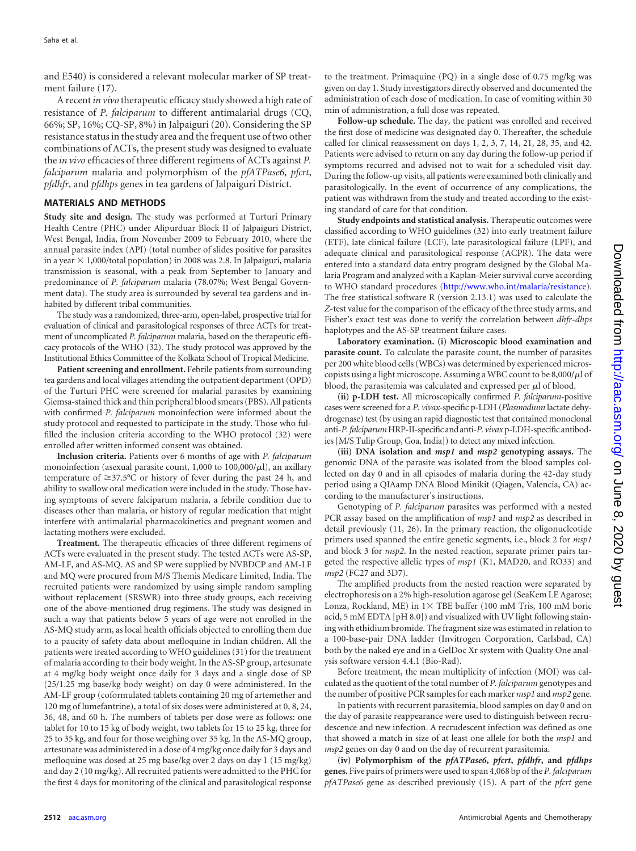and E540) is considered a relevant molecular marker of SP treatment failure [\(17\)](#page-6-10).

A recent *in vivo* therapeutic efficacy study showed a high rate of resistance of *P. falciparum* to different antimalarial drugs (CQ, 66%; SP, 16%; CQ-SP, 8%) in Jalpaiguri [\(20\)](#page-6-18). Considering the SP resistance status in the study area and the frequent use of two other combinations of ACTs, the present study was designed to evaluate the *in vivo* efficacies of three different regimens of ACTs against *P. falciparum* malaria and polymorphism of the *pfATPase6*, *pfcrt*, *pfdhfr*, and *pfdhps* genes in tea gardens of Jalpaiguri District.

### **MATERIALS AND METHODS**

**Study site and design.** The study was performed at Turturi Primary Health Centre (PHC) under Alipurduar Block II of Jalpaiguri District, West Bengal, India, from November 2009 to February 2010, where the annual parasite index (API) (total number of slides positive for parasites in a year  $\times$  1,000/total population) in 2008 was 2.8. In Jalpaiguri, malaria transmission is seasonal, with a peak from September to January and predominance of *P. falciparum* malaria (78.07%; West Bengal Government data). The study area is surrounded by several tea gardens and inhabited by different tribal communities.

The study was a randomized, three-arm, open-label, prospective trial for evaluation of clinical and parasitological responses of three ACTs for treatment of uncomplicated *P. falciparum* malaria, based on the therapeutic efficacy protocols of the WHO [\(32\)](#page-6-19). The study protocol was approved by the Institutional Ethics Committee of the Kolkata School of Tropical Medicine.

**Patient screening and enrollment.** Febrile patients from surrounding tea gardens and local villages attending the outpatient department (OPD) of the Turturi PHC were screened for malarial parasites by examining Giemsa-stained thick and thin peripheral blood smears (PBS). All patients with confirmed *P. falciparum* monoinfection were informed about the study protocol and requested to participate in the study. Those who fulfilled the inclusion criteria according to the WHO protocol [\(32\)](#page-6-19) were enrolled after written informed consent was obtained.

**Inclusion criteria.** Patients over 6 months of age with *P. falciparum* monoinfection (asexual parasite count,  $1,000$  to  $100,000/\mu$ l), an axillary temperature of  $\geq$ 37.5°C or history of fever during the past 24 h, and ability to swallow oral medication were included in the study. Those having symptoms of severe falciparum malaria, a febrile condition due to diseases other than malaria, or history of regular medication that might interfere with antimalarial pharmacokinetics and pregnant women and lactating mothers were excluded.

**Treatment.** The therapeutic efficacies of three different regimens of ACTs were evaluated in the present study. The tested ACTs were AS-SP, AM-LF, and AS-MQ. AS and SP were supplied by NVBDCP and AM-LF and MQ were procured from M/S Themis Medicare Limited, India. The recruited patients were randomized by using simple random sampling without replacement (SRSWR) into three study groups, each receiving one of the above-mentioned drug regimens. The study was designed in such a way that patients below 5 years of age were not enrolled in the AS-MQ study arm, as local health officials objected to enrolling them due to a paucity of safety data about mefloquine in Indian children. All the patients were treated according to WHO guidelines [\(31\)](#page-6-20) for the treatment of malaria according to their body weight. In the AS-SP group, artesunate at 4 mg/kg body weight once daily for 3 days and a single dose of SP (25/1.25 mg base/kg body weight) on day 0 were administered. In the AM-LF group (coformulated tablets containing 20 mg of artemether and 120 mg of lumefantrine), a total of six doses were administered at 0, 8, 24, 36, 48, and 60 h. The numbers of tablets per dose were as follows: one tablet for 10 to 15 kg of body weight, two tablets for 15 to 25 kg, three for 25 to 35 kg, and four for those weighing over 35 kg. In the AS-MQ group, artesunate was administered in a dose of 4 mg/kg once daily for 3 days and mefloquine was dosed at 25 mg base/kg over 2 days on day 1 (15 mg/kg) and day 2 (10 mg/kg). All recruited patients were admitted to the PHC for the first 4 days for monitoring of the clinical and parasitological response

to the treatment. Primaquine (PQ) in a single dose of 0.75 mg/kg was given on day 1. Study investigators directly observed and documented the administration of each dose of medication. In case of vomiting within 30 min of administration, a full dose was repeated.

**Follow-up schedule.** The day, the patient was enrolled and received the first dose of medicine was designated day 0. Thereafter, the schedule called for clinical reassessment on days 1, 2, 3, 7, 14, 21, 28, 35, and 42. Patients were advised to return on any day during the follow-up period if symptoms recurred and advised not to wait for a scheduled visit day. During the follow-up visits, all patients were examined both clinically and parasitologically. In the event of occurrence of any complications, the patient was withdrawn from the study and treated according to the existing standard of care for that condition.

**Study endpoints and statistical analysis.** Therapeutic outcomes were classified according to WHO guidelines [\(32\)](#page-6-19) into early treatment failure (ETF), late clinical failure (LCF), late parasitological failure (LPF), and adequate clinical and parasitological response (ACPR). The data were entered into a standard data entry program designed by the Global Malaria Program and analyzed with a Kaplan-Meier survival curve according to WHO standard procedures (http://www.who.int/malaria/resistance). The free statistical software R (version 2.13.1) was used to calculate the *Z*-test value for the comparison of the efficacy of the three study arms, and Fisher's exact test was done to verify the correlation between *dhfr-dhps* haplotypes and the AS-SP treatment failure cases.

**Laboratory examination. (i) Microscopic blood examination and parasite count.** To calculate the parasite count, the number of parasites per 200 white blood cells (WBCs) was determined by experienced microscopists using a light microscope. Assuming a WBC count to be  $8,000/\mu$  of blood, the parasitemia was calculated and expressed per  $\mu$ l of blood.

**(ii) p-LDH test.** All microscopically confirmed *P. falciparum*-positive cases were screened for a *P. vivax*-specific p-LDH (*Plasmodium* lactate dehydrogenase) test (by using an rapid diagnostic test that contained monoclonal anti-*P.falciparum*HRP-II-specific and anti-*P. vivax*p-LDH-specific antibodies [M/S Tulip Group, Goa, India]) to detect any mixed infection.

**(iii) DNA isolation and** *msp1* **and** *msp2* **genotyping assays.** The genomic DNA of the parasite was isolated from the blood samples collected on day 0 and in all episodes of malaria during the 42-day study period using a QIAamp DNA Blood Minikit (Qiagen, Valencia, CA) according to the manufacturer's instructions.

Genotyping of *P. falciparum* parasites was performed with a nested PCR assay based on the amplification of *msp1* and *msp2* as described in detail previously [\(11,](#page-6-21) [26\)](#page-6-22). In the primary reaction, the oligonucleotide primers used spanned the entire genetic segments, i.e., block 2 for *msp1* and block 3 for *msp2*. In the nested reaction, separate primer pairs targeted the respective allelic types of *msp1* (K1, MAD20, and RO33) and *msp2* (FC27 and 3D7).

The amplified products from the nested reaction were separated by electrophoresis on a 2% high-resolution agarose gel (SeaKem LE Agarose; Lonza, Rockland, ME) in  $1 \times$  TBE buffer (100 mM Tris, 100 mM boric acid, 5 mM EDTA [pH 8.0]) and visualized with UV light following staining with ethidium bromide. The fragment size was estimated in relation to a 100-base-pair DNA ladder (Invitrogen Corporation, Carlsbad, CA) both by the naked eye and in a GelDoc Xr system with Quality One analysis software version 4.4.1 (Bio-Rad).

Before treatment, the mean multiplicity of infection (MOI) was calculated as the quotient of the total number of *P. falciparum* genotypes and the number of positive PCR samples for each marker *msp1* and *msp2* gene.

In patients with recurrent parasitemia, blood samples on day 0 and on the day of parasite reappearance were used to distinguish between recrudescence and new infection. A recrudescent infection was defined as one that showed a match in size of at least one allele for both the *msp1* and *msp2* genes on day 0 and on the day of recurrent parasitemia.

**(iv) Polymorphism of the** *pfATPase6***,** *pfcrt***,** *pfdhfr***, and** *pfdhps* **genes.** Five pairs of primers were used to span 4,068 bp of the *P. falciparum pfATPase6* gene as described previously [\(15\)](#page-6-23). A part of the *pfcrt* gene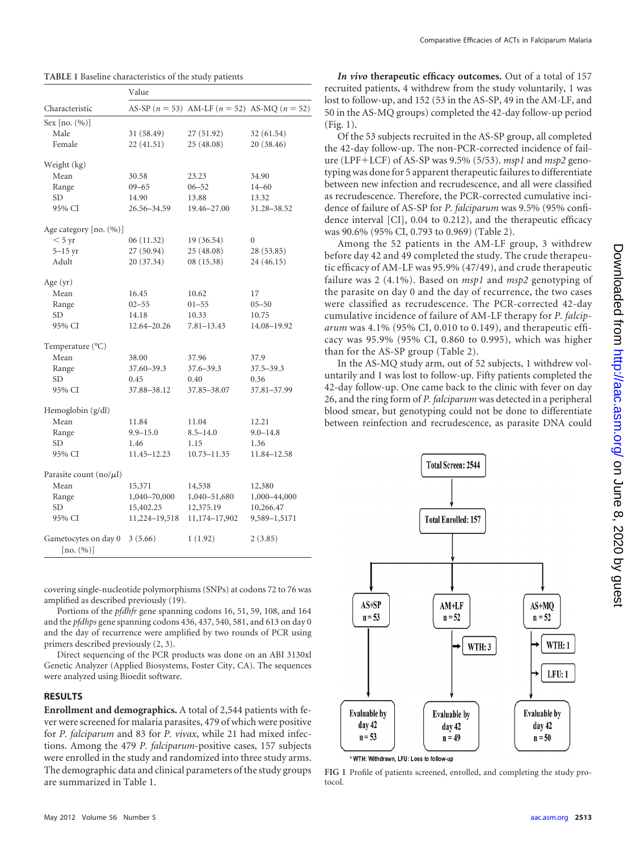<span id="page-2-0"></span>

| TABLE 1 Baseline characteristics of the study patients |  |
|--------------------------------------------------------|--|
|--------------------------------------------------------|--|

|                                   | Value         |                                                    |               |
|-----------------------------------|---------------|----------------------------------------------------|---------------|
| Characteristic                    |               | AS-SP $(n = 53)$ AM-LF $(n = 52)$ AS-MQ $(n = 52)$ |               |
| Sex $[no. (%)]$                   |               |                                                    |               |
| Male                              | 31 (58.49)    | 27 (51.92)                                         | 32 (61.54)    |
| Female                            | 22(41.51)     | 25 (48.08)                                         | 20 (38.46)    |
| Weight (kg)                       |               |                                                    |               |
| Mean                              | 30.58         | 23.23                                              | 34.90         |
| Range                             | $09 - 65$     | $06 - 52$                                          | $14 - 60$     |
| <b>SD</b>                         | 14.90         | 13.88                                              | 13.32         |
| 95% CI                            | 26.56-34.59   | 19.46-27.00                                        | 31.28-38.52   |
| Age category [no. (%)]            |               |                                                    |               |
| $< 5 \text{ yr}$                  | 06(11.32)     | 19 (36.54)                                         | 0             |
| $5-15$ yr                         | 27 (50.94)    | 25(48.08)                                          | 28 (53.85)    |
| Adult                             | 20 (37.34)    | 08(15.38)                                          | 24(46.15)     |
| Age (yr)                          |               |                                                    |               |
| Mean                              | 16.45         | 10.62                                              | 17            |
| Range                             | $02 - 55$     | $01 - 55$                                          | $05 - 50$     |
| <b>SD</b>                         | 14.18         | 10.33                                              | 10.75         |
| 95% CI                            | 12.64-20.26   | $7.81 - 13.43$                                     | 14.08-19.92   |
| Temperature (°C)                  |               |                                                    |               |
| Mean                              | 38.00         | 37.96                                              | 37.9          |
| Range                             | 37.60-39.3    | 37.6–39.3                                          | $37.5 - 39.3$ |
| <b>SD</b>                         | 0.45          | 0.40                                               | 0.36          |
| 95% CI                            | 37.88-38.12   | 37.85-38.07                                        | 37.81-37.99   |
| Hemoglobin (g/dl)                 |               |                                                    |               |
| Mean                              | 11.84         | 11.04                                              | 12.21         |
| Range                             | $9.9 - 15.0$  | $8.5 - 14.0$                                       | $9.0 - 14.8$  |
| SD.                               | 1.46          | 1.15                                               | 1.36          |
| 95% CI                            | 11.45–12.23   | 10.73-11.35                                        | 11.84-12.58   |
| Parasite count $(no/µl)$          |               |                                                    |               |
| Mean                              | 15,371        | 14,538                                             | 12,380        |
| Range                             | 1,040-70,000  | 1,040-51,680                                       | 1,000-44,000  |
| SD.                               | 15,402.25     | 12,375.19                                          | 10,266.47     |
| 95% CI                            | 11,224-19,518 | 11,174-17,902                                      | 9,589-1,5171  |
| Gametocytes on day 0<br>[no. (%)] | 3(5.66)       | 1(1.92)                                            | 2(3.85)       |

covering single-nucleotide polymorphisms (SNPs) at codons 72 to 76 was amplified as described previously [\(19\)](#page-6-24).

Portions of the *pfdhfr* gene spanning codons 16, 51, 59, 108, and 164 and the *pfdhps* gene spanning codons 436, 437, 540, 581, and 613 on day 0 and the day of recurrence were amplified by two rounds of PCR using primers described previously [\(2,](#page-6-25) [3\)](#page-6-26).

Direct sequencing of the PCR products was done on an ABI 3130xl Genetic Analyzer (Applied Biosystems, Foster City, CA). The sequences were analyzed using Bioedit software.

#### **RESULTS**

**Enrollment and demographics.** A total of 2,544 patients with fever were screened for malaria parasites, 479 of which were positive for *P. falciparum* and 83 for *P. vivax*, while 21 had mixed infections. Among the 479 *P. falciparum*-positive cases, 157 subjects were enrolled in the study and randomized into three study arms. The demographic data and clinical parameters of the study groups are summarized in [Table 1.](#page-2-0)

*In vivo* **therapeutic efficacy outcomes.** Out of a total of 157 recruited patients, 4 withdrew from the study voluntarily, 1 was lost to follow-up, and 152 (53 in the AS-SP, 49 in the AM-LF, and 50 in the AS-MQ groups) completed the 42-day follow-up period [\(Fig. 1\)](#page-2-1).

Of the 53 subjects recruited in the AS-SP group, all completed the 42-day follow-up. The non-PCR-corrected incidence of failure (LPF-LCF) of AS-SP was 9.5% (5/53). *msp1* and *msp2* genotyping was done for 5 apparent therapeutic failures to differentiate between new infection and recrudescence, and all were classified as recrudescence. Therefore, the PCR-corrected cumulative incidence of failure of AS-SP for *P. falciparum* was 9.5% (95% confidence interval [CI], 0.04 to 0.212), and the therapeutic efficacy was 90.6% (95% CI, 0.793 to 0.969) [\(Table 2\)](#page-3-0).

Among the 52 patients in the AM-LF group, 3 withdrew before day 42 and 49 completed the study. The crude therapeutic efficacy of AM-LF was 95.9% (47/49), and crude therapeutic failure was 2 (4.1%). Based on *msp1* and *msp2* genotyping of the parasite on day 0 and the day of recurrence, the two cases were classified as recrudescence. The PCR-corrected 42-day cumulative incidence of failure of AM-LF therapy for *P. falciparum* was 4.1% (95% CI, 0.010 to 0.149), and therapeutic efficacy was 95.9% (95% CI, 0.860 to 0.995), which was higher than for the AS-SP group [\(Table 2\)](#page-3-0).

In the AS-MQ study arm, out of 52 subjects, 1 withdrew voluntarily and 1 was lost to follow-up. Fifty patients completed the 42-day follow-up. One came back to the clinic with fever on day 26, and the ring form of *P. falciparum* was detected in a peripheral blood smear, but genotyping could not be done to differentiate between reinfection and recrudescence, as parasite DNA could



\* WTH: Withdrawn, LFU: Loss to follow-up

<span id="page-2-1"></span>**FIG 1** Profile of patients screened, enrolled, and completing the study protocol.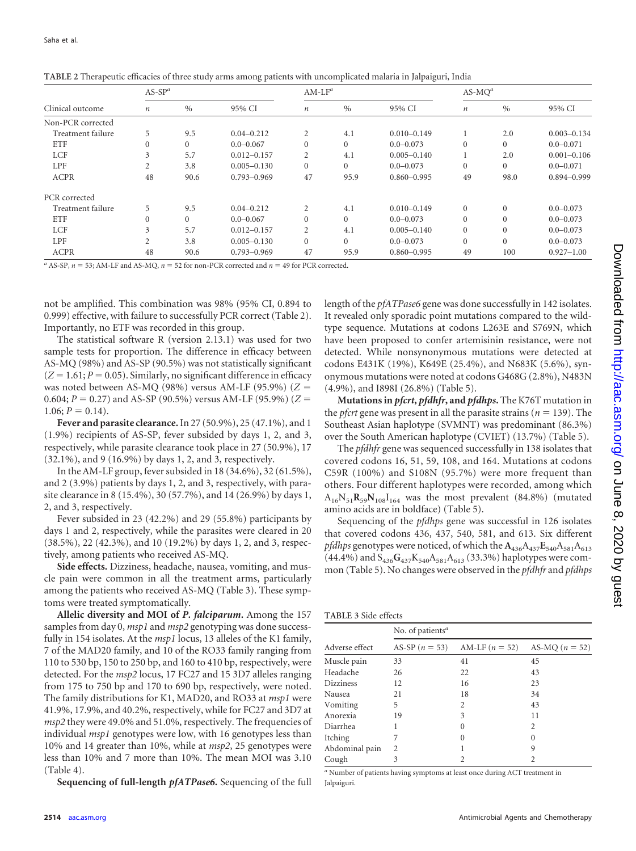|                   | $AS-SPa$         |          |                 |                  | $AM-LF^a$     |                 |          | $AS-MOa$ |                 |  |
|-------------------|------------------|----------|-----------------|------------------|---------------|-----------------|----------|----------|-----------------|--|
| Clinical outcome  | $\boldsymbol{n}$ | $\%$     | 95% CI          | $\boldsymbol{n}$ | $\frac{0}{0}$ | 95% CI          | п        | $\%$     | 95% CI          |  |
| Non-PCR corrected |                  |          |                 |                  |               |                 |          |          |                 |  |
| Treatment failure | 5                | 9.5      | $0.04 - 0.212$  | 2                | 4.1           | $0.010 - 0.149$ |          | 2.0      | $0.003 - 0.134$ |  |
| <b>ETF</b>        | $\mathbf{0}$     | $\Omega$ | $0.0 - 0.067$   | $\Omega$         | $\Omega$      | $0.0 - 0.073$   | $\theta$ | $\Omega$ | $0.0 - 0.071$   |  |
| <b>LCF</b>        | 3                | 5.7      | $0.012 - 0.157$ | 2                | 4.1           | $0.005 - 0.140$ |          | 2.0      | $0.001 - 0.106$ |  |
| <b>LPF</b>        | 2                | 3.8      | $0.005 - 0.130$ | $\Omega$         | $\Omega$      | $0.0 - 0.073$   | $\Omega$ | $\Omega$ | $0.0 - 0.071$   |  |
| <b>ACPR</b>       | 48               | 90.6     | $0.793 - 0.969$ | 47               | 95.9          | $0.860 - 0.995$ | 49       | 98.0     | $0.894 - 0.999$ |  |
| PCR corrected     |                  |          |                 |                  |               |                 |          |          |                 |  |
| Treatment failure | 5                | 9.5      | $0.04 - 0.212$  | $\overline{2}$   | 4.1           | $0.010 - 0.149$ | $\Omega$ | $\Omega$ | $0.0 - 0.073$   |  |
| <b>ETF</b>        | $\mathbf{0}$     | $\Omega$ | $0.0 - 0.067$   | $\Omega$         | $\Omega$      | $0.0 - 0.073$   | $\theta$ |          | $0.0 - 0.073$   |  |
| <b>LCF</b>        | 3                | 5.7      | $0.012 - 0.157$ | 2                | 4.1           | $0.005 - 0.140$ | $\Omega$ | $\Omega$ | $0.0 - 0.073$   |  |
| <b>LPF</b>        | 2                | 3.8      | $0.005 - 0.130$ | $\Omega$         | $\Omega$      | $0.0 - 0.073$   | $\theta$ | $\Omega$ | $0.0 - 0.073$   |  |
| <b>ACPR</b>       | 48               | 90.6     | $0.793 - 0.969$ | 47               | 95.9          | $0.860 - 0.995$ | 49       | 100      | $0.927 - 1.00$  |  |

<span id="page-3-0"></span>**TABLE 2** Therapeutic efficacies of three study arms among patients with uncomplicated malaria in Jalpaiguri, India

 $a$  AS-SP,  $n = 53$ ; AM-LF and AS-MQ,  $n = 52$  for non-PCR corrected and  $n = 49$  for PCR corrected.

not be amplified. This combination was 98% (95% CI, 0.894 to 0.999) effective, with failure to successfully PCR correct [\(Table 2\)](#page-3-0). Importantly, no ETF was recorded in this group.

The statistical software R (version 2.13.1) was used for two sample tests for proportion. The difference in efficacy between AS-MQ (98%) and AS-SP (90.5%) was not statistically significant  $(Z = 1.61; P = 0.05)$ . Similarly, no significant difference in efficacy was noted between AS-MQ (98%) versus AM-LF (95.9%) (*Z* 0.604;  $P = 0.27$ ) and AS-SP (90.5%) versus AM-LF (95.9%) ( $Z =$  $1.06; P = 0.14$ .

**Fever and parasite clearance.**In 27 (50.9%), 25 (47.1%), and 1 (1.9%) recipients of AS-SP, fever subsided by days 1, 2, and 3, respectively, while parasite clearance took place in 27 (50.9%), 17 (32.1%), and 9 (16.9%) by days 1, 2, and 3, respectively.

In the AM-LF group, fever subsided in 18 (34.6%), 32 (61.5%), and 2 (3.9%) patients by days 1, 2, and 3, respectively, with parasite clearance in 8 (15.4%), 30 (57.7%), and 14 (26.9%) by days 1, 2, and 3, respectively.

Fever subsided in 23 (42.2%) and 29 (55.8%) participants by days 1 and 2, respectively, while the parasites were cleared in 20 (38.5%), 22 (42.3%), and 10 (19.2%) by days 1, 2, and 3, respectively, among patients who received AS-MQ.

**Side effects.** Dizziness, headache, nausea, vomiting, and muscle pain were common in all the treatment arms, particularly among the patients who received AS-MQ [\(Table 3\)](#page-3-1). These symptoms were treated symptomatically.

**Allelic diversity and MOI of** *P. falciparum***.** Among the 157 samples from day 0, *msp1* and *msp2* genotyping was done successfully in 154 isolates. At the *msp1* locus, 13 alleles of the K1 family, 7 of the MAD20 family, and 10 of the RO33 family ranging from 110 to 530 bp, 150 to 250 bp, and 160 to 410 bp, respectively, were detected. For the *msp2* locus, 17 FC27 and 15 3D7 alleles ranging from 175 to 750 bp and 170 to 690 bp, respectively, were noted. The family distributions for K1, MAD20, and RO33 at *msp1* were 41.9%, 17.9%, and 40.2%, respectively, while for FC27 and 3D7 at *msp2* they were 49.0% and 51.0%, respectively. The frequencies of individual *msp1* genotypes were low, with 16 genotypes less than 10% and 14 greater than 10%, while at *msp2*, 25 genotypes were less than 10% and 7 more than 10%. The mean MOI was 3.10 [\(Table 4\)](#page-4-0).

**Sequencing of full-length** *pfATPase6***.** Sequencing of the full

length of the *pfATPase6* gene was done successfully in 142 isolates. It revealed only sporadic point mutations compared to the wildtype sequence. Mutations at codons L263E and S769N, which have been proposed to confer artemisinin resistance, were not detected. While nonsynonymous mutations were detected at codons E431K (19%), K649E (25.4%), and N683K (5.6%), synonymous mutations were noted at codons G468G (2.8%), N483N (4.9%), and I898I (26.8%) [\(Table 5\)](#page-4-1).

**Mutations in** *pfcrt***,** *pfdhfr***, and** *pfdhps***.** The K76T mutation in the *pfcrt* gene was present in all the parasite strains ( $n = 139$ ). The Southeast Asian haplotype (SVMNT) was predominant (86.3%) over the South American haplotype (CVIET) (13.7%) [\(Table 5\)](#page-4-1).

The *pfdhfr* gene was sequenced successfully in 138 isolates that covered codons 16, 51, 59, 108, and 164. Mutations at codons C59R (100%) and S108N (95.7%) were more frequent than others. Four different haplotypes were recorded, among which  $A_{16}N_{51}R_{59}N_{108}I_{164}$  was the most prevalent (84.8%) (mutated amino acids are in boldface) [\(Table 5\)](#page-4-1).

Sequencing of the *pfdhps* gene was successful in 126 isolates that covered codons 436, 437, 540, 581, and 613. Six different *pfdhps* genotypes were noticed, of which the  $A_{436}A_{437}E_{540}A_{581}A_{613}$  $(44.4\%)$  and  $S_{436}G_{437}K_{540}A_{581}A_{613}$  (33.3%) haplotypes were common [\(Table 5\)](#page-4-1). No changes were observed in the *pfdhfr* and *pfdhps*

<span id="page-3-1"></span>

|                  | No. of patients <sup>a</sup> |                  |                  |  |  |  |  |
|------------------|------------------------------|------------------|------------------|--|--|--|--|
| Adverse effect   | AS-SP $(n = 53)$             | AM-LF $(n = 52)$ | AS-MQ $(n = 52)$ |  |  |  |  |
| Muscle pain      | 33                           | 41               | 45               |  |  |  |  |
| Headache         | 26                           | 22               | 43               |  |  |  |  |
| <b>Dizziness</b> | 12                           | 16               | 23               |  |  |  |  |
| Nausea           | 21                           | 18               | 34               |  |  |  |  |
| Vomiting         | 5                            | $\overline{c}$   | 43               |  |  |  |  |
| Anorexia         | 19                           | 3                | 11               |  |  |  |  |
| Diarrhea         |                              | $\Omega$         | 2                |  |  |  |  |
| Itching          | 7                            | $\Omega$         | $\Omega$         |  |  |  |  |
| Abdominal pain   | $\overline{c}$               |                  | 9                |  |  |  |  |
| Cough            | 3                            |                  |                  |  |  |  |  |

*<sup>a</sup>* Number of patients having symptoms at least once during ACT treatment in Jalpaiguri.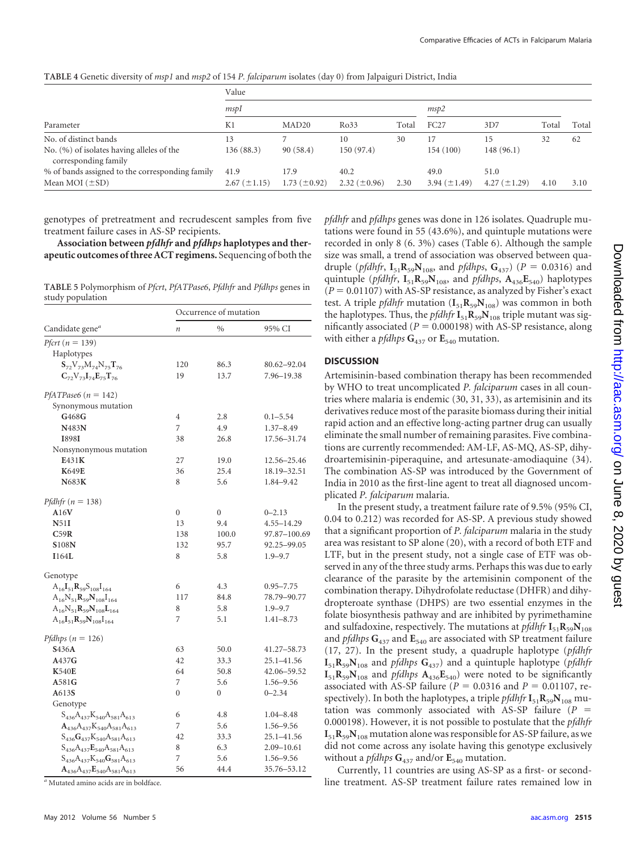<span id="page-4-0"></span>**TABLE 4** Genetic diversity of *msp1* and *msp2* of 154 *P. falciparum* isolates (day 0) from Jalpaiguri District, India

| Parameter                                                         | Value               |                     |                   |       |                     |                   |       |       |
|-------------------------------------------------------------------|---------------------|---------------------|-------------------|-------|---------------------|-------------------|-------|-------|
|                                                                   | mspI                |                     |                   |       | msp2                |                   |       |       |
|                                                                   | K1                  | MAD <sub>20</sub>   | Ro33              | Total | FC27                | 3D7               | Total | Total |
| No. of distinct bands                                             | 13                  |                     | 10                | 30    |                     | 15                | 32    | 62    |
| No. (%) of isolates having alleles of the<br>corresponding family | 136(88.3)           | 90(58.4)            | 150(97.4)         |       | 154(100)            | 148(96.1)         |       |       |
| % of bands assigned to the corresponding family                   | 41.9                | 17.9                | 40.2              |       | 49.0                | 51.0              |       |       |
| Mean MOI $(\pm SD)$                                               | $2.67 \ (\pm 1.15)$ | $1.73 \ (\pm 0.92)$ | 2.32 $(\pm 0.96)$ | 2.30  | $3.94 \ (\pm 1.49)$ | $4.27 (\pm 1.29)$ | 4.10  | 3.10  |

genotypes of pretreatment and recrudescent samples from five treatment failure cases in AS-SP recipients.

**Association between** *pfdhfr* **and** *pfdhps* **haplotypes and therapeutic outcomes of three ACT regimens.** Sequencing of both the

<span id="page-4-1"></span>**TABLE 5** Polymorphism of *Pfcrt*, *PfATPase6*, *Pfdhfr* and *Pfdhps* genes in study population

|                                       | Occurrence of mutation |                  |                |  |  |  |
|---------------------------------------|------------------------|------------------|----------------|--|--|--|
| Candidate gene <sup>a</sup>           | $\boldsymbol{n}$       | $\%$             | 95% CI         |  |  |  |
| Pfcrt ( $n = 139$ )                   |                        |                  |                |  |  |  |
| Haplotypes                            |                        |                  |                |  |  |  |
| $S_{72}V_{73}M_{74}N_{75}T_{76}$      | 120                    | 86.3             | 80.62-92.04    |  |  |  |
| $C_{72}V_{73}I_{74}E_{75}T_{76}$      | 19                     | 13.7             | 7.96-19.38     |  |  |  |
| PfATPase6 ( $n = 142$ )               |                        |                  |                |  |  |  |
| Synonymous mutation                   |                        |                  |                |  |  |  |
| G468G                                 | $\overline{4}$         | 2.8              | $0.1 - 5.54$   |  |  |  |
| N483N                                 | 7                      | 4.9              | $1.37 - 8.49$  |  |  |  |
| <b>I898I</b>                          | 38                     | 26.8             | 17.56-31.74    |  |  |  |
| Nonsynonymous mutation                |                        |                  |                |  |  |  |
| E431K                                 | 27                     | 19.0             | 12.56-25.46    |  |  |  |
| <b>K649E</b>                          | 36                     | 25.4             | 18.19-32.51    |  |  |  |
| <b>N683K</b>                          | 8                      | 5.6              | 1.84-9.42      |  |  |  |
| Pfdhfr ( $n = 138$ )                  |                        |                  |                |  |  |  |
| A16V                                  | $\boldsymbol{0}$       | $\boldsymbol{0}$ | $0 - 2.13$     |  |  |  |
| N51I                                  | 13                     | 9.4              | $4.55 - 14.29$ |  |  |  |
| C59R                                  | 138                    | 100.0            | 97.87-100.69   |  |  |  |
| <b>S108N</b>                          | 132                    | 95.7             | 92.25-99.05    |  |  |  |
| I164L                                 | 8                      | 5.8              | $1.9 - 9.7$    |  |  |  |
| Genotype                              |                        |                  |                |  |  |  |
| $A_{16}I_{51}R_{59}S_{108}I_{164}$    | 6                      | 4.3              | $0.95 - 7.75$  |  |  |  |
| $A_{16}N_{51}R_{59}N_{108}I_{164}$    | 117                    | 84.8             | 78.79-90.77    |  |  |  |
| $A_{16}N_{51}R_{59}N_{108}L_{164}$    | 8                      | 5.8              | $1.9 - 9.7$    |  |  |  |
| $A_{16}I_{51}R_{59}N_{108}I_{164}$    | 7                      | 5.1              | $1.41 - 8.73$  |  |  |  |
| Pfdhps $(n = 126)$                    |                        |                  |                |  |  |  |
| <b>S436A</b>                          | 63                     | 50.0             | 41.27-58.73    |  |  |  |
| A437G                                 | 42                     | 33.3             | 25.1-41.56     |  |  |  |
| <b>K540E</b>                          | 64                     | 50.8             | 42.06-59.52    |  |  |  |
| A581G                                 | 7                      | 5.6              | 1.56-9.56      |  |  |  |
| A613S                                 | $\overline{0}$         | $\mathbf{0}$     | $0 - 2.34$     |  |  |  |
| Genotype                              |                        |                  |                |  |  |  |
| $S_{436}A_{437}K_{540}A_{581}A_{613}$ | 6                      | 4.8              | $1.04 - 8.48$  |  |  |  |
| $A_{436}A_{437}K_{540}A_{581}A_{613}$ | 7                      | 5.6              | 1.56-9.56      |  |  |  |
| $S_{436}G_{437}K_{540}A_{581}A_{613}$ | 42                     | 33.3             | 25.1-41.56     |  |  |  |
| $S_{436}A_{437}E_{540}A_{581}A_{613}$ | 8                      | 6.3              | 2.09-10.61     |  |  |  |
| $S_{436}A_{437}K_{540}G_{581}A_{613}$ | 7                      | 5.6              | 1.56-9.56      |  |  |  |
| $A_{436}A_{437}E_{540}A_{581}A_{613}$ | 56                     | 44.4             | 35.76-53.12    |  |  |  |

*<sup>a</sup>* Mutated amino acids are in boldface.

*pfdhfr* and *pfdhps* genes was done in 126 isolates. Quadruple mutations were found in 55 (43.6%), and quintuple mutations were recorded in only 8 (6. 3%) cases [\(Table 6\)](#page-5-0). Although the sample size was small, a trend of association was observed between quadruple (*pfdhfr*,  $I_{51}R_{59}N_{108}$ , and *pfdhps*,  $G_{437}$ ) (*P* = 0.0316) and quintuple (*pfdhfr*,  $I_{51}R_{59}N_{108}$ , and *pfdhps*,  $A_{436}E_{540}$ ) haplotypes  $(P = 0.01107)$  with AS-SP resistance, as analyzed by Fisher's exact test. A triple *pfdhfr* mutation  $(I_{51}R_{59}N_{108})$  was common in both the haplotypes. Thus, the *pfdhfr*  $\mathbf{I}_{51} \mathbf{R}_{59} \mathbf{N}_{108}$  triple mutant was significantly associated ( $P = 0.000198$ ) with AS-SP resistance, along with either a *pfdhps*  $G_{437}$  or  $E_{540}$  mutation.

### **DISCUSSION**

Artemisinin-based combination therapy has been recommended by WHO to treat uncomplicated *P. falciparum* cases in all countries where malaria is endemic [\(30,](#page-6-27) [31,](#page-6-20) [33\)](#page-6-28), as artemisinin and its derivatives reduce most of the parasite biomass during their initial rapid action and an effective long-acting partner drug can usually eliminate the small number of remaining parasites. Five combinations are currently recommended: AM-LF, AS-MQ, AS-SP, dihydroartemisinin-piperaquine, and artesunate-amodiaquine [\(34\)](#page-6-0). The combination AS-SP was introduced by the Government of India in 2010 as the first-line agent to treat all diagnosed uncomplicated *P. falciparum* malaria.

In the present study, a treatment failure rate of 9.5% (95% CI, 0.04 to 0.212) was recorded for AS-SP. A previous study showed that a significant proportion of *P. falciparum* malaria in the study area was resistant to SP alone [\(20\)](#page-6-18), with a record of both ETF and LTF, but in the present study, not a single case of ETF was observed in any of the three study arms. Perhaps this was due to early clearance of the parasite by the artemisinin component of the combination therapy. Dihydrofolate reductase (DHFR) and dihydropteroate synthase (DHPS) are two essential enzymes in the folate biosynthesis pathway and are inhibited by pyrimethamine and sulfadoxine, respectively. The mutations at *pfdhfr*  $I_{51}R_{59}N_{108}$ and *pfdhps* **G**<sup>437</sup> and **E**<sup>540</sup> are associated with SP treatment failure [\(17,](#page-6-10) [27\)](#page-6-29). In the present study, a quadruple haplotype (*pfdhfr*  $I_{51}R_{59}N_{108}$  and *pfdhps*  $G_{437}$ ) and a quintuple haplotype (*pfdhfr*  $I_{51}R_{59}N_{108}$  and *pfdhps*  $A_{436}E_{540}$ ) were noted to be significantly associated with AS-SP failure ( $P = 0.0316$  and  $P = 0.01107$ , respectively). In both the haplotypes, a triple *pfdhfr*  $I_{51}R_{59}N_{108}$  mutation was commonly associated with AS-SP failure (*P* 0.000198). However, it is not possible to postulate that the *pfdhfr*  $I_{51}R_{59}N_{108}$  mutation alone was responsible for AS-SP failure, as we did not come across any isolate having this genotype exclusively without a *pfdhps*  $G_{437}$  and/or  $E_{540}$  mutation.

Currently, 11 countries are using AS-SP as a first- or secondline treatment. AS-SP treatment failure rates remained low in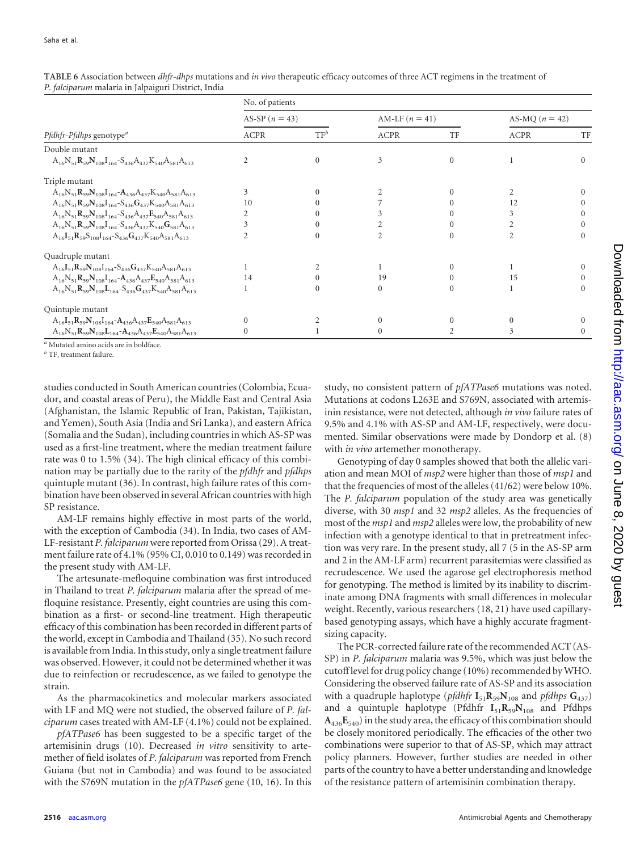|                                                                              | No. of patients  |          |                  |          |                  |          |  |
|------------------------------------------------------------------------------|------------------|----------|------------------|----------|------------------|----------|--|
|                                                                              | AS-SP $(n = 43)$ |          | AM-LF $(n = 41)$ |          | AS-MQ $(n = 42)$ |          |  |
| Pfdhfr-Pfdhps genotype <sup>a</sup>                                          | <b>ACPR</b>      | $TF^b$   | <b>ACPR</b>      | TF       | <b>ACPR</b>      | TF       |  |
| Double mutant                                                                |                  |          |                  |          |                  |          |  |
| $A_{16}N_{51}R_{59}N_{108}I_{164}-S_{436}A_{437}K_{540}A_{581}A_{613}$       | $\mathfrak{D}$   | $\Omega$ | 3                | $\Omega$ |                  |          |  |
| Triple mutant                                                                |                  |          |                  |          |                  |          |  |
| $A_{16}N_{51}R_{59}N_{108}I_{164} - A_{436}A_{437}K_{540}A_{581}A_{613}$     | 3                |          |                  |          |                  |          |  |
| $A_{16}N_{51}R_{59}N_{108}I_{164}-S_{436}G_{437}K_{540}A_{581}A_{613}$       | 10               |          |                  |          | 12               |          |  |
| $\rm A_{16}N_{51}R_{59}N_{108}I_{164} - S_{436}A_{437}E_{540}A_{581}A_{613}$ | $\overline{c}$   |          |                  |          | 3                |          |  |
| $A_{16}N_{51}R_{59}N_{108}I_{164} - S_{436}A_{437}K_{540}G_{581}A_{613}$     | 3                | $\Omega$ |                  | $\Omega$ | $\overline{c}$   |          |  |
| $A_{16}I_{51}R_{59}S_{108}I_{164}-S_{436}G_{437}K_{540}A_{581}A_{613}$       |                  |          | 2                | $\Omega$ | 2                | $\Omega$ |  |
| Quadruple mutant                                                             |                  |          |                  |          |                  |          |  |
| $A_{16}I_{51}R_{59}N_{108}I_{164}S_{436}G_{437}K_{540}A_{581}A_{613}$        |                  |          |                  |          |                  |          |  |
| $A_{16}N_{51}R_{59}N_{108}I_{164}-A_{436}A_{437}E_{540}A_{581}A_{613}$       | 14               |          | 19               |          | 15               |          |  |
| $A_{16}N_{51}R_{59}N_{108}L_{164}S_{436}G_{437}K_{540}A_{581}A_{613}$        |                  |          | 0                |          |                  |          |  |
| Quintuple mutant                                                             |                  |          |                  |          |                  |          |  |
| $A_{16}I_{51}R_{59}N_{108}I_{164}-A_{436}A_{437}E_{540}A_{581}A_{613}$       | $\Omega$         |          |                  |          |                  |          |  |
| $A_{16}N_{51}R_{59}N_{108}L_{164}-A_{436}A_{437}E_{540}A_{581}A_{613}$       | $\Omega$         |          | 0                |          | 3                |          |  |

<span id="page-5-0"></span>**TABLE 6** Association between *dhfr-dhps* mutations and *in vivo* therapeutic efficacy outcomes of three ACT regimens in the treatment of *P. falciparum* malaria in Jalpaiguri District, India

*<sup>a</sup>* Mutated amino acids are in boldface.

*<sup>b</sup>* TF, treatment failure.

studies conducted in South American countries (Colombia, Ecuador, and coastal areas of Peru), the Middle East and Central Asia (Afghanistan, the Islamic Republic of Iran, Pakistan, Tajikistan, and Yemen), South Asia (India and Sri Lanka), and eastern Africa (Somalia and the Sudan), including countries in which AS-SP was used as a first-line treatment, where the median treatment failure rate was 0 to 1.5% [\(34\)](#page-6-0). The high clinical efficacy of this combination may be partially due to the rarity of the *pfdhfr* and *pfdhps* quintuple mutant [\(36\)](#page-6-30). In contrast, high failure rates of this combination have been observed in several African countries with high SP resistance.

AM-LF remains highly effective in most parts of the world, with the exception of Cambodia [\(34\)](#page-6-0). In India, two cases of AM-LF-resistant *P. falciparum* were reported from Orissa [\(29\)](#page-6-31). A treatment failure rate of 4.1% (95% CI, 0.010 to 0.149) was recorded in the present study with AM-LF.

The artesunate-mefloquine combination was first introduced in Thailand to treat *P. falciparum* malaria after the spread of mefloquine resistance. Presently, eight countries are using this combination as a first- or second-line treatment. High therapeutic efficacy of this combination has been recorded in different parts of the world, except in Cambodia and Thailand [\(35\)](#page-6-32). No such record is available from India. In this study, only a single treatment failure was observed. However, it could not be determined whether it was due to reinfection or recrudescence, as we failed to genotype the strain.

As the pharmacokinetics and molecular markers associated with LF and MQ were not studied, the observed failure of *P. falciparum* cases treated with AM-LF (4.1%) could not be explained.

*pfATPase6* has been suggested to be a specific target of the artemisinin drugs [\(10\)](#page-6-14). Decreased *in vitro* sensitivity to artemether of field isolates of *P. falciparum* was reported from French Guiana (but not in Cambodia) and was found to be associated with the S769N mutation in the *pfATPase6* gene [\(10,](#page-6-14) [16\)](#page-6-16). In this

study, no consistent pattern of *pfATPase6* mutations was noted. Mutations at codons L263E and S769N, associated with artemisinin resistance, were not detected, although *in vivo* failure rates of 9.5% and 4.1% with AS-SP and AM-LF, respectively, were documented. Similar observations were made by Dondorp et al. [\(8\)](#page-6-33) with *in vivo* artemether monotherapy.

Genotyping of day 0 samples showed that both the allelic variation and mean MOI of *msp2* were higher than those of *msp1* and that the frequencies of most of the alleles (41/62) were below 10%. The *P. falciparum* population of the study area was genetically diverse, with 30 *msp1* and 32 *msp2* alleles. As the frequencies of most of the *msp1* and *msp2* alleles were low, the probability of new infection with a genotype identical to that in pretreatment infection was very rare. In the present study, all 7 (5 in the AS-SP arm and 2 in the AM-LF arm) recurrent parasitemias were classified as recrudescence. We used the agarose gel electrophoresis method for genotyping. The method is limited by its inability to discriminate among DNA fragments with small differences in molecular weight. Recently, various researchers [\(18,](#page-6-34) [21\)](#page-6-35) have used capillarybased genotyping assays, which have a highly accurate fragmentsizing capacity.

The PCR-corrected failure rate of the recommended ACT (AS-SP) in *P. falciparum* malaria was 9.5%, which was just below the cutoff level for drug policy change (10%) recommended byWHO. Considering the observed failure rate of AS-SP and its association with a quadruple haplotype (*pfdhfr*  $I_{51}R_{59}N_{108}$  and *pfdhps*  $G_{437}$ ) and a quintuple haplotype (Pfdhfr  $I_{51}R_{59}N_{108}$  and Pfdhps  $A_{436}E_{540}$ ) in the study area, the efficacy of this combination should be closely monitored periodically. The efficacies of the other two combinations were superior to that of AS-SP, which may attract policy planners. However, further studies are needed in other parts of the country to have a better understanding and knowledge of the resistance pattern of artemisinin combination therapy.